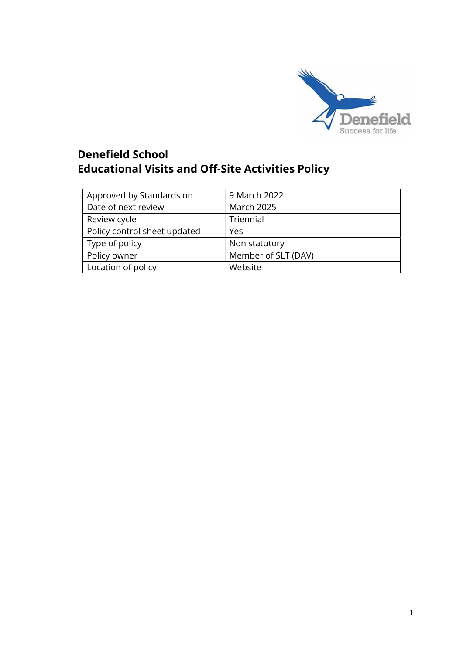

# Denefield School Educational Visits and Off-Site Activities Policy

| Approved by Standards on     | 9 March 2022        |
|------------------------------|---------------------|
| Date of next review          | <b>March 2025</b>   |
| Review cycle                 | Triennial           |
| Policy control sheet updated | Yes                 |
| Type of policy               | Non statutory       |
| Policy owner                 | Member of SLT (DAV) |
| Location of policy           | Website             |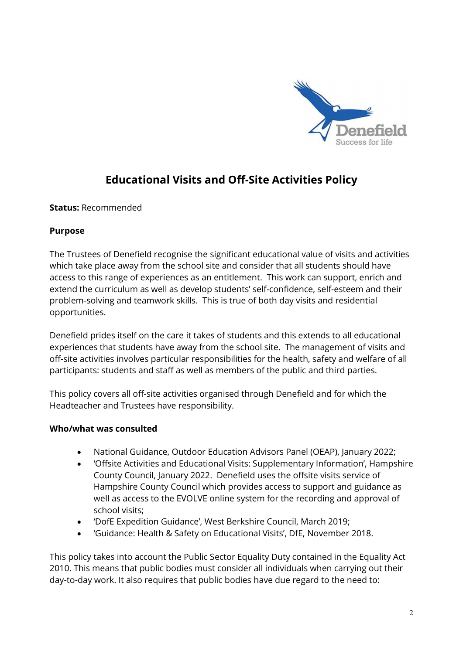

## Educational Visits and Off-Site Activities Policy

Status: Recommended

#### Purpose

The Trustees of Denefield recognise the significant educational value of visits and activities which take place away from the school site and consider that all students should have access to this range of experiences as an entitlement. This work can support, enrich and extend the curriculum as well as develop students' self-confidence, self-esteem and their problem-solving and teamwork skills. This is true of both day visits and residential opportunities.

Denefield prides itself on the care it takes of students and this extends to all educational experiences that students have away from the school site. The management of visits and off-site activities involves particular responsibilities for the health, safety and welfare of all participants: students and staff as well as members of the public and third parties.

This policy covers all off-site activities organised through Denefield and for which the Headteacher and Trustees have responsibility.

## Who/what was consulted

- National Guidance, Outdoor Education Advisors Panel (OEAP), January 2022;
- 'Offsite Activities and Educational Visits: Supplementary Information', Hampshire County Council, January 2022. Denefield uses the offsite visits service of Hampshire County Council which provides access to support and guidance as well as access to the EVOLVE online system for the recording and approval of school visits;
- 'DofE Expedition Guidance', West Berkshire Council, March 2019;
- 'Guidance: Health & Safety on Educational Visits', DfE, November 2018.

This policy takes into account the Public Sector Equality Duty contained in the Equality Act 2010. This means that public bodies must consider all individuals when carrying out their day-to-day work. It also requires that public bodies have due regard to the need to: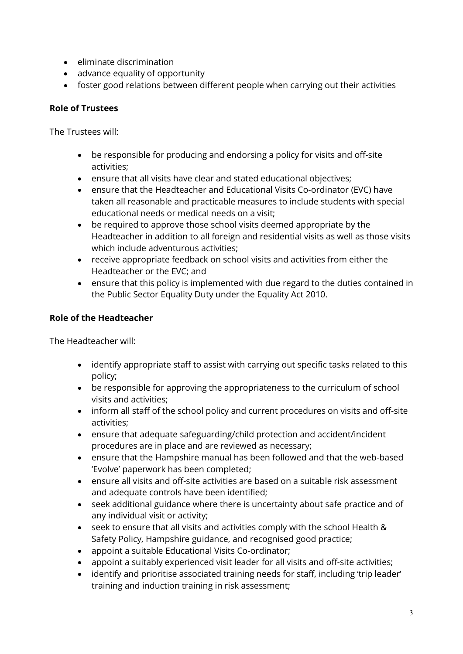- eliminate discrimination
- advance equality of opportunity
- foster good relations between different people when carrying out their activities

## Role of Trustees

The Trustees will:

- be responsible for producing and endorsing a policy for visits and off-site activities;
- ensure that all visits have clear and stated educational objectives;
- ensure that the Headteacher and Educational Visits Co-ordinator (EVC) have taken all reasonable and practicable measures to include students with special educational needs or medical needs on a visit;
- be required to approve those school visits deemed appropriate by the Headteacher in addition to all foreign and residential visits as well as those visits which include adventurous activities;
- receive appropriate feedback on school visits and activities from either the Headteacher or the EVC; and
- ensure that this policy is implemented with due regard to the duties contained in the Public Sector Equality Duty under the Equality Act 2010.

## Role of the Headteacher

The Headteacher will:

- identify appropriate staff to assist with carrying out specific tasks related to this policy;
- be responsible for approving the appropriateness to the curriculum of school visits and activities;
- inform all staff of the school policy and current procedures on visits and off-site activities;
- ensure that adequate safeguarding/child protection and accident/incident procedures are in place and are reviewed as necessary;
- ensure that the Hampshire manual has been followed and that the web-based 'Evolve' paperwork has been completed;
- ensure all visits and off-site activities are based on a suitable risk assessment and adequate controls have been identified;
- seek additional guidance where there is uncertainty about safe practice and of any individual visit or activity;
- seek to ensure that all visits and activities comply with the school Health & Safety Policy, Hampshire guidance, and recognised good practice;
- appoint a suitable Educational Visits Co-ordinator;
- appoint a suitably experienced visit leader for all visits and off-site activities;
- identify and prioritise associated training needs for staff, including 'trip leader' training and induction training in risk assessment;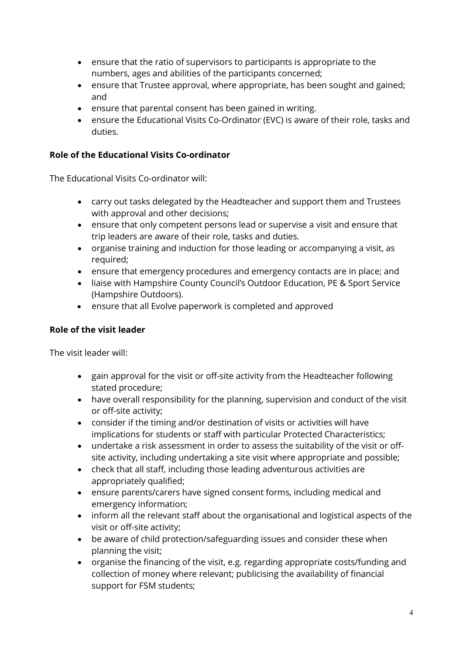- ensure that the ratio of supervisors to participants is appropriate to the numbers, ages and abilities of the participants concerned;
- ensure that Trustee approval, where appropriate, has been sought and gained; and
- ensure that parental consent has been gained in writing.
- ensure the Educational Visits Co-Ordinator (EVC) is aware of their role, tasks and duties.

## Role of the Educational Visits Co-ordinator

The Educational Visits Co-ordinator will:

- carry out tasks delegated by the Headteacher and support them and Trustees with approval and other decisions;
- ensure that only competent persons lead or supervise a visit and ensure that trip leaders are aware of their role, tasks and duties.
- organise training and induction for those leading or accompanying a visit, as required;
- ensure that emergency procedures and emergency contacts are in place; and
- liaise with Hampshire County Council's Outdoor Education, PE & Sport Service (Hampshire Outdoors).
- ensure that all Evolve paperwork is completed and approved

## Role of the visit leader

The visit leader will:

- gain approval for the visit or off-site activity from the Headteacher following stated procedure;
- have overall responsibility for the planning, supervision and conduct of the visit or off-site activity;
- consider if the timing and/or destination of visits or activities will have implications for students or staff with particular Protected Characteristics;
- undertake a risk assessment in order to assess the suitability of the visit or offsite activity, including undertaking a site visit where appropriate and possible;
- check that all staff, including those leading adventurous activities are appropriately qualified;
- ensure parents/carers have signed consent forms, including medical and emergency information;
- inform all the relevant staff about the organisational and logistical aspects of the visit or off-site activity;
- be aware of child protection/safeguarding issues and consider these when planning the visit;
- organise the financing of the visit, e.g. regarding appropriate costs/funding and collection of money where relevant; publicising the availability of financial support for FSM students;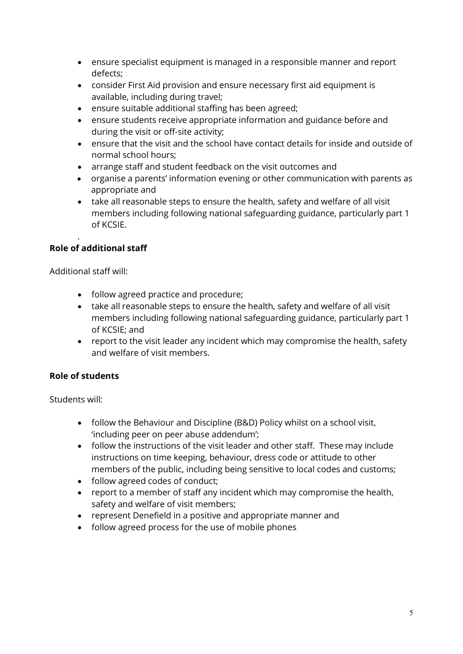- ensure specialist equipment is managed in a responsible manner and report defects;
- consider First Aid provision and ensure necessary first aid equipment is available, including during travel;
- ensure suitable additional staffing has been agreed;
- ensure students receive appropriate information and guidance before and during the visit or off-site activity;
- ensure that the visit and the school have contact details for inside and outside of normal school hours;
- arrange staff and student feedback on the visit outcomes and
- organise a parents' information evening or other communication with parents as appropriate and
- take all reasonable steps to ensure the health, safety and welfare of all visit members including following national safeguarding guidance, particularly part 1 of KCSIE.

#### . Role of additional staff

Additional staff will:

- follow agreed practice and procedure;
- take all reasonable steps to ensure the health, safety and welfare of all visit members including following national safeguarding guidance, particularly part 1 of KCSIE; and
- report to the visit leader any incident which may compromise the health, safety and welfare of visit members.

## Role of students

Students will:

- follow the Behaviour and Discipline (B&D) Policy whilst on a school visit, 'including peer on peer abuse addendum';
- follow the instructions of the visit leader and other staff. These may include instructions on time keeping, behaviour, dress code or attitude to other members of the public, including being sensitive to local codes and customs;
- follow agreed codes of conduct;
- report to a member of staff any incident which may compromise the health, safety and welfare of visit members;
- represent Denefield in a positive and appropriate manner and
- follow agreed process for the use of mobile phones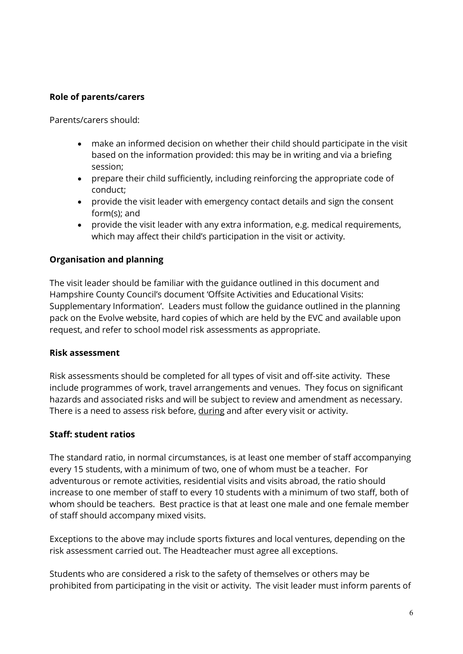## Role of parents/carers

Parents/carers should:

- make an informed decision on whether their child should participate in the visit based on the information provided: this may be in writing and via a briefing session;
- prepare their child sufficiently, including reinforcing the appropriate code of conduct;
- provide the visit leader with emergency contact details and sign the consent form(s); and
- provide the visit leader with any extra information, e.g. medical requirements, which may affect their child's participation in the visit or activity.

#### Organisation and planning

The visit leader should be familiar with the guidance outlined in this document and Hampshire County Council's document 'Offsite Activities and Educational Visits: Supplementary Information'. Leaders must follow the guidance outlined in the planning pack on the Evolve website, hard copies of which are held by the EVC and available upon request, and refer to school model risk assessments as appropriate.

#### Risk assessment

 Risk assessments should be completed for all types of visit and off-site activity. These include programmes of work, travel arrangements and venues. They focus on significant hazards and associated risks and will be subject to review and amendment as necessary. There is a need to assess risk before, during and after every visit or activity.

#### Staff: student ratios

The standard ratio, in normal circumstances, is at least one member of staff accompanying every 15 students, with a minimum of two, one of whom must be a teacher. For adventurous or remote activities, residential visits and visits abroad, the ratio should increase to one member of staff to every 10 students with a minimum of two staff, both of whom should be teachers. Best practice is that at least one male and one female member of staff should accompany mixed visits.

Exceptions to the above may include sports fixtures and local ventures, depending on the risk assessment carried out. The Headteacher must agree all exceptions.

Students who are considered a risk to the safety of themselves or others may be prohibited from participating in the visit or activity. The visit leader must inform parents of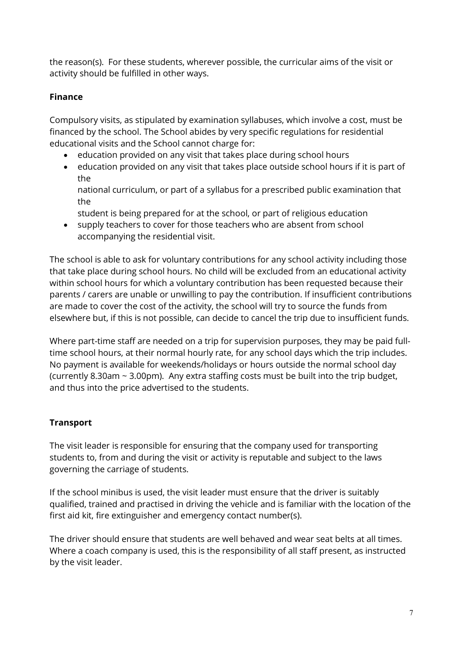the reason(s). For these students, wherever possible, the curricular aims of the visit or activity should be fulfilled in other ways.

## Finance

Compulsory visits, as stipulated by examination syllabuses, which involve a cost, must be financed by the school. The School abides by very specific regulations for residential educational visits and the School cannot charge for:

- education provided on any visit that takes place during school hours
- education provided on any visit that takes place outside school hours if it is part of the
	- national curriculum, or part of a syllabus for a prescribed public examination that the
	- student is being prepared for at the school, or part of religious education
- supply teachers to cover for those teachers who are absent from school accompanying the residential visit.

The school is able to ask for voluntary contributions for any school activity including those that take place during school hours. No child will be excluded from an educational activity within school hours for which a voluntary contribution has been requested because their parents / carers are unable or unwilling to pay the contribution. If insufficient contributions are made to cover the cost of the activity, the school will try to source the funds from elsewhere but, if this is not possible, can decide to cancel the trip due to insufficient funds.

Where part-time staff are needed on a trip for supervision purposes, they may be paid fulltime school hours, at their normal hourly rate, for any school days which the trip includes. No payment is available for weekends/holidays or hours outside the normal school day (currently 8.30am ~ 3.00pm). Any extra staffing costs must be built into the trip budget, and thus into the price advertised to the students.

## **Transport**

The visit leader is responsible for ensuring that the company used for transporting students to, from and during the visit or activity is reputable and subject to the laws governing the carriage of students.

If the school minibus is used, the visit leader must ensure that the driver is suitably qualified, trained and practised in driving the vehicle and is familiar with the location of the first aid kit, fire extinguisher and emergency contact number(s).

The driver should ensure that students are well behaved and wear seat belts at all times. Where a coach company is used, this is the responsibility of all staff present, as instructed by the visit leader.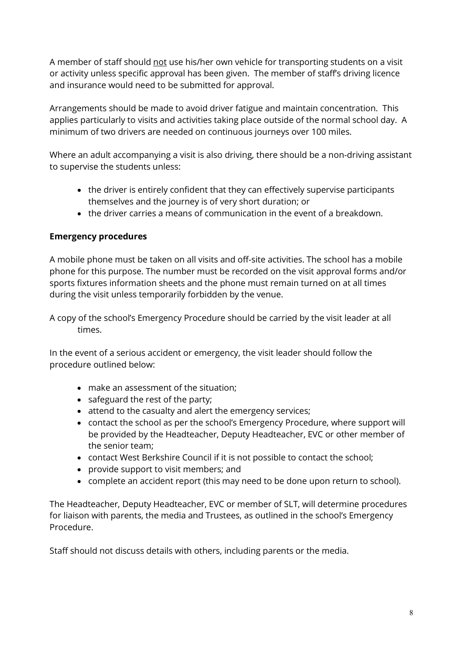A member of staff should not use his/her own vehicle for transporting students on a visit or activity unless specific approval has been given. The member of staff's driving licence and insurance would need to be submitted for approval.

Arrangements should be made to avoid driver fatigue and maintain concentration. This applies particularly to visits and activities taking place outside of the normal school day. A minimum of two drivers are needed on continuous journeys over 100 miles.

Where an adult accompanying a visit is also driving, there should be a non-driving assistant to supervise the students unless:

- the driver is entirely confident that they can effectively supervise participants themselves and the journey is of very short duration; or
- the driver carries a means of communication in the event of a breakdown.

## Emergency procedures

A mobile phone must be taken on all visits and off-site activities. The school has a mobile phone for this purpose. The number must be recorded on the visit approval forms and/or sports fixtures information sheets and the phone must remain turned on at all times during the visit unless temporarily forbidden by the venue.

A copy of the school's Emergency Procedure should be carried by the visit leader at all times.

In the event of a serious accident or emergency, the visit leader should follow the procedure outlined below:

- make an assessment of the situation;
- safeguard the rest of the party;
- attend to the casualty and alert the emergency services;
- contact the school as per the school's Emergency Procedure, where support will be provided by the Headteacher, Deputy Headteacher, EVC or other member of the senior team;
- contact West Berkshire Council if it is not possible to contact the school;
- provide support to visit members; and
- complete an accident report (this may need to be done upon return to school).

The Headteacher, Deputy Headteacher, EVC or member of SLT, will determine procedures for liaison with parents, the media and Trustees, as outlined in the school's Emergency Procedure.

Staff should not discuss details with others, including parents or the media.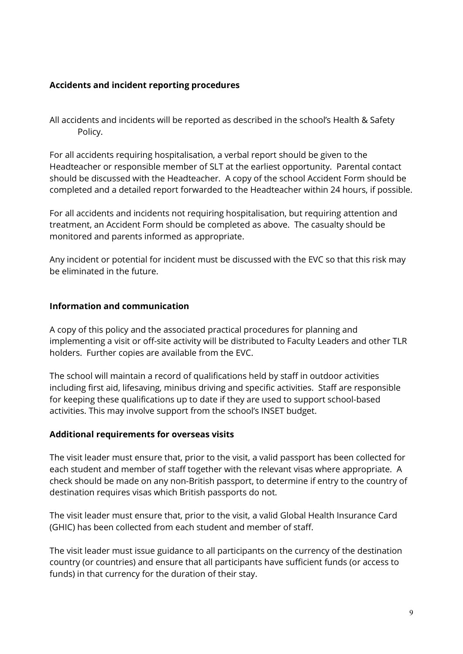## Accidents and incident reporting procedures

All accidents and incidents will be reported as described in the school's Health & Safety Policy.

For all accidents requiring hospitalisation, a verbal report should be given to the Headteacher or responsible member of SLT at the earliest opportunity. Parental contact should be discussed with the Headteacher. A copy of the school Accident Form should be completed and a detailed report forwarded to the Headteacher within 24 hours, if possible.

For all accidents and incidents not requiring hospitalisation, but requiring attention and treatment, an Accident Form should be completed as above. The casualty should be monitored and parents informed as appropriate.

Any incident or potential for incident must be discussed with the EVC so that this risk may be eliminated in the future.

#### Information and communication

A copy of this policy and the associated practical procedures for planning and implementing a visit or off-site activity will be distributed to Faculty Leaders and other TLR holders. Further copies are available from the EVC.

The school will maintain a record of qualifications held by staff in outdoor activities including first aid, lifesaving, minibus driving and specific activities. Staff are responsible for keeping these qualifications up to date if they are used to support school-based activities. This may involve support from the school's INSET budget.

#### Additional requirements for overseas visits

The visit leader must ensure that, prior to the visit, a valid passport has been collected for each student and member of staff together with the relevant visas where appropriate. A check should be made on any non-British passport, to determine if entry to the country of destination requires visas which British passports do not.

The visit leader must ensure that, prior to the visit, a valid Global Health Insurance Card (GHIC) has been collected from each student and member of staff.

The visit leader must issue guidance to all participants on the currency of the destination country (or countries) and ensure that all participants have sufficient funds (or access to funds) in that currency for the duration of their stay.